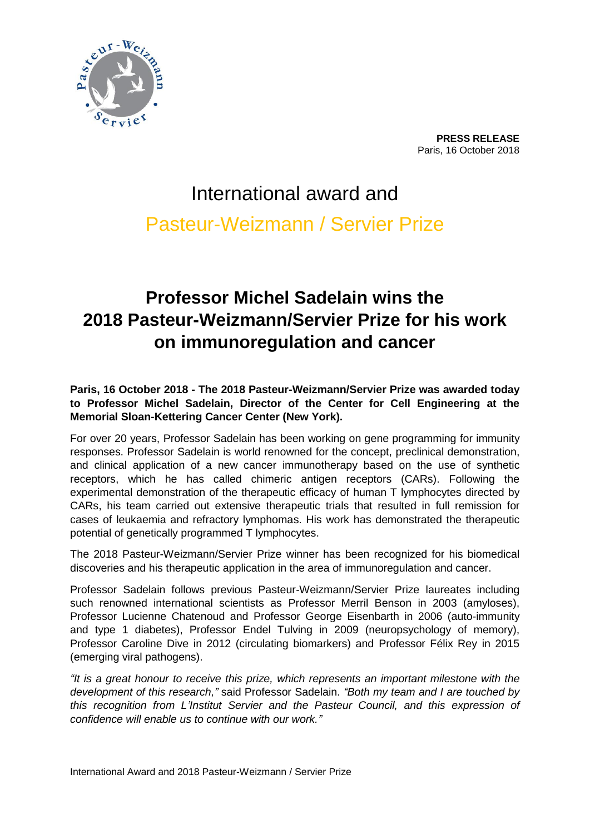

**PRESS RELEASE** Paris, 16 October 2018

# International award and Pasteur-Weizmann / Servier Prize

# **Professor Michel Sadelain wins the 2018 Pasteur-Weizmann/Servier Prize for his work on immunoregulation and cancer**

**Paris, 16 October 2018 - The 2018 Pasteur-Weizmann/Servier Prize was awarded today to Professor Michel Sadelain, Director of the Center for Cell Engineering at the Memorial Sloan-Kettering Cancer Center (New York).**

For over 20 years, Professor Sadelain has been working on gene programming for immunity responses. Professor Sadelain is world renowned for the concept, preclinical demonstration, and clinical application of a new cancer immunotherapy based on the use of synthetic receptors, which he has called chimeric antigen receptors (CARs). Following the experimental demonstration of the therapeutic efficacy of human T lymphocytes directed by CARs, his team carried out extensive therapeutic trials that resulted in full remission for cases of leukaemia and refractory lymphomas. His work has demonstrated the therapeutic potential of genetically programmed T lymphocytes.

The 2018 Pasteur-Weizmann/Servier Prize winner has been recognized for his biomedical discoveries and his therapeutic application in the area of immunoregulation and cancer.

Professor Sadelain follows previous Pasteur-Weizmann/Servier Prize laureates including such renowned international scientists as Professor Merril Benson in 2003 (amyloses), Professor Lucienne Chatenoud and Professor George Eisenbarth in 2006 (auto-immunity and type 1 diabetes), Professor Endel Tulving in 2009 (neuropsychology of memory), Professor Caroline Dive in 2012 (circulating biomarkers) and Professor Félix Rey in 2015 (emerging viral pathogens).

*"It is a great honour to receive this prize, which represents an important milestone with the development of this research,"* said Professor Sadelain. *"Both my team and I are touched by this recognition from L'Institut Servier and the Pasteur Council, and this expression of confidence will enable us to continue with our work."*